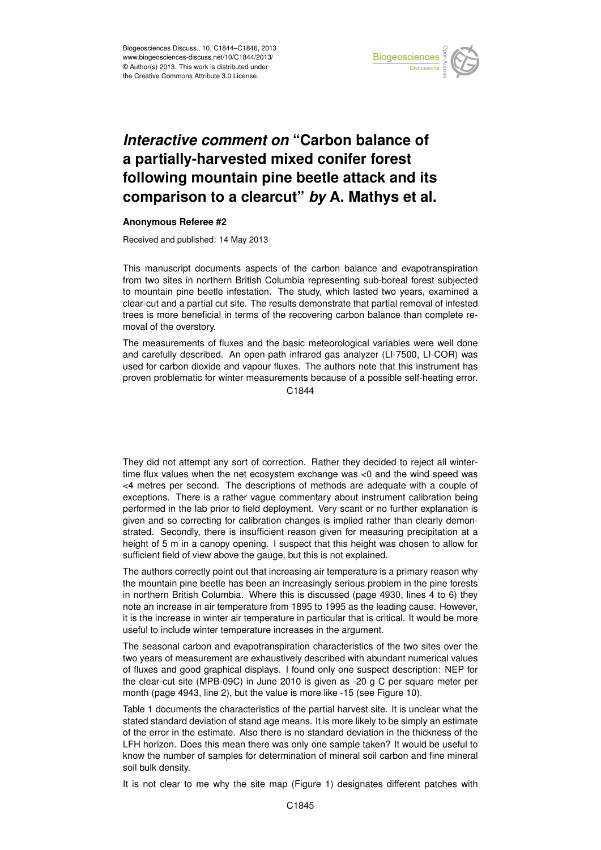

## Earth System a partially-harvested mixed conifer forest  $\overline{\phantom{a}}$ *Interactive comment on* "Carbon balance of following mountain pine beetle attack and its Georgi a vicaru  $\mathbf{r}$  $\sim$  of older comparison to a clearcut" *by* A. Mathys et al.

## **Anonymous Referee #2**

Received and published: 14 May 2013

This manuscript documents aspects of the carbon balance and evapotranspiration  $\overline{f}$ .<br>S to mountain pine beetle infestation. The study, which lasted two years, examined a clear-cut and a partial cut site. The results demonstrate that partial removal of infested trees is more beneficial in terms of the recovering carbon balance than complete ree<br>It:<br>r ar<br>Fi from two sites in northern British Columbia representing sub-boreal forest subjected moval of the overstory.

and carefully described. An open-path infrared gas analyzer (LI-7500, LI-COR) was a<br>P ve<br>O<br>n The measurements of fluxes and the basic meteorological variables were well done used for carbon dioxide and vapour fluxes. The authors note that this instrument has proven problematic for winter measurements because of a possible self-heating error.

C<br>C C1844

open Access  $\overline{a}$ They did not attempt any sort of correction. Rather they decided to reject all wintertime flux values when the net ecosystem exchange was <0 and the wind speed was <4 metres per second. The descriptions of methods are adequate with a couple of exceptions. There is a rather vague commentary about instrument calibration being performed in the lab prior to field deployment. Very scant or no further explanation is given and so correcting for calibration changes is implied rather than clearly demonstrated. Secondly, there is insufficient reason given for measuring precipitation at a height of 5 m in a canopy opening. I suspect that this height was chosen to allow for sufficient field of view above the gauge, but this is not explained.

The authors correctly point out that increasing air temperature is a primary reason why the mountain pine beetle has been an increasingly serious problem in the pine forests in northern British Columbia. Where this is discussed (page 4930, lines 4 to 6) they note an increase in air temperature from 1895 to 1995 as the leading cause. However, it is the increase in winter air temperature in particular that is critical. It would be more useful to include winter temperature increases in the argument.

The seasonal carbon and evapotranspiration characteristics of the two sites over the two years of measurement are exhaustively described with abundant numerical values of fluxes and good graphical displays. I found only one suspect description: NEP for the clear-cut site (MPB-09C) in June 2010 is given as -20 g C per square meter per month (page 4943, line 2), but the value is more like -15 (see Figure 10).

Table 1 documents the characteristics of the partial harvest site. It is unclear what the stated standard deviation of stand age means. It is more likely to be simply an estimate of the error in the estimate. Also there is no standard deviation in the thickness of the LFH horizon. Does this mean there was only one sample taken? It would be useful to know the number of samples for determination of mineral soil carbon and fine mineral soil bulk density.

It is not clear to me why the site map (Figure 1) designates different patches with